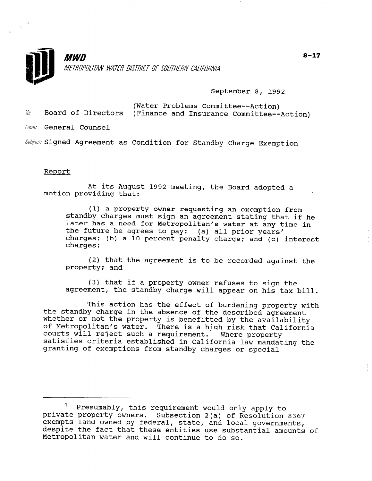

September 8, 1992

(Water Problems Committee--Action)  $\ddot{w}$  Board of Directors (Finance and Insurance Committee--Action)

From: General Counsel

Subject: Signed Agreement as Condition for Standby Charge Exemption

## Report

At its August 1992 meeting, the Board adopted a motion providing that:

(1) a property owner requesting an exemption from standby charges must sign an agreement stating that if he later has a need for Metropolitan's water at any time in the future he agrees to pay: (a) all prior years' charges; (b) a 10 percent penalty charge; and (c) interest charges;

(2) that the agreement is to be recorded against the property; and

(3) that if a property owner refuses to sign the agreement, the standby charge will appear on his tax bill.

This action has the effect of burdening property with the standby charge in the absence of the described at the description of the standby charge in the absence of the described agreement<br>whether or not the property is benefitted by the availability whether of not the property is benefitted by the availabili<br>of Metropolitan's water. There is a high risk that Californ of mecroporican s water. There is a high risk that ( courts will reject such a requirement. Where property satisfies criteria established in California law mandating the granting of exemptions from standby charges or special

 $\frac{1}{\sqrt{2}}$  Presumably, this requirement would  $\frac{1}{\sqrt{2}}$ presumably, this requirement would only apply to private property owners. Subsection 2(a) of Resolution 8367 exempts land owned by federal, state, and local governments, despite the fact that these entities use substantial amounts of Metropolitan water and will continue to do so.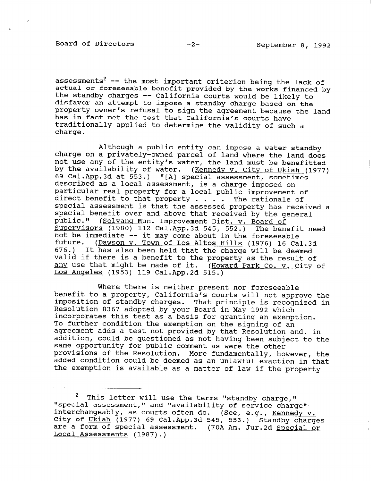Board of Directors -2- September 8, 1992

assessments<sup>2</sup> -- the most important criterion being the lack of actual or foreseeable benefit provided by the works financed by the standby charges -- California courts would be likely to disfavor an attempt to impose a standby charge based on the property owner's refusal to sign the agreement because the land has in fact met the test that California's courts have traditionally applied to determine the validity of such a charge.

Although a public entity can impose a water standby charge on a privately-owned parcel of land where the land does not use any of the entity's water, the land must be benefitted by the availability of water. (Kennedy v. City of Ukiah (1977) 69 Cal.App.3d at 553.) "[A] special assessment, sometime described as a local assessment, is a charge imposed on particular real property for a local public improvement of direct benefit to that property  $\ldots$  . The rationale of special assessment is that the assessed property has received a special benefit over and above that received by the general public." (Solvang Mun. Improvement Dist. v. Board of Supervisors (1980) 112 Cal.App.3d 545, 552.) The benefit need not be immediate -- it may come about in the foreseeable future. (Dawson v. Town of Los Altos Hills (1976) 16 Cal.3d 676.) It has also been held that the charge will be deemed valid if there is a benefit to the property as the result of any use that might be made of it. (Howard Park Co. v. City of Los Angeles (1953) 119 Cal.App.2d 515.)

Where there is neither present nor foreseeable benefit to a property, California's courts will not approve the imposition of standby charges. That principle is recognized in Resolution 8367 adopted by your Board in May 1992 which incorporates this test as a basis for granting an exemption. To further condition the exemption on the signing of an agreement adds a test not provided by that Resolution and, in addition, could be questioned as not having been subject to the same opportunity for publication as not having been sub pars opportunity for partic comment as were the other provisions of the Resolution. More fundamentally, however, the<br>added condition could be deemed as an unlawful exaction in that the exemption is available as a matter of law if the property

 $2$  This letter will use the terms "standby charge," " special assessment use the terms "standby Charge,"<br>"Checial accoccmont " and "availability of service charge" special assessment, and "availability of service charge" mode changearly, as could client ac. (See,<br>City of Ukiah (1977) 69 Cal. App.3d 545, 553. <u>city of oxide</u> (1977) os cal.App open <u>Kennedy</u> V. (70A Am. Jur.2d Special or are a form of special assessment. (70A Am. Jur.2d Special or Local Assessments (1987).)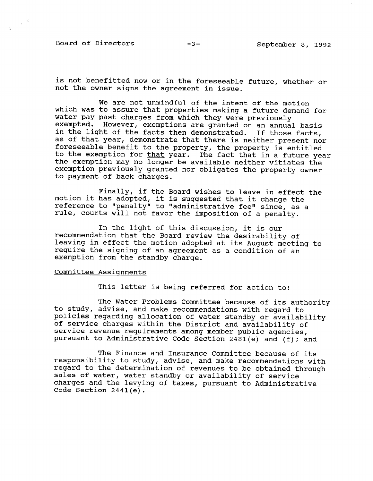Board of Directors -3- September 8, 1992

is not benefitted now or in the foreseeable future, whether or not the owner signs the agreement in issue.

We are not unmindful of the intent of the motion which was to assure that properties making a future demand for water pay past charges from which they were previously exempted. However, exemptions are granted on an annual basis in the light of the facts then demonstrated. If those facts as of that year, demonstrate that there is neither present nor foreseeable benefit to the property, the property is entit to the exemption for that year. The fact that in a future year the exemption may no longer be available neither vitiates the exemption previously granted nor obligates the property owner to payment of back charges.

Finally, if the Board wishes to leave in effect the motion it has adopted, it is suggested that it change the reference to "penalty" to "administrative fee" since, as a rule, courts will not favor the imposition of a penalty.

In the light of this discussion, it is our recommendation that the Board review the desirability of leaving in effect the motion adopted at its August meeting to require the signing of an agreement as a condition of an exemption from the standby charge.

## Committee Assignments

This letter is being referred for action to:

The Water Problems Committee because of its authority to study, advise, and make recommendations with regard to policies regarding allocation of water standby or availability of service charges within the District and availability of service revenue requirements among member public agencies, pursuant to Administrative Code Section 2481(e) and (f); and

The Finance and Insurance Committee because of its responsibility to study, advise, and make recommendations with responsibility to study, auvise, and make recommendations with sales of water, water standby or availability of service saies of water, water standby of availability of Service Charges and the Tev.